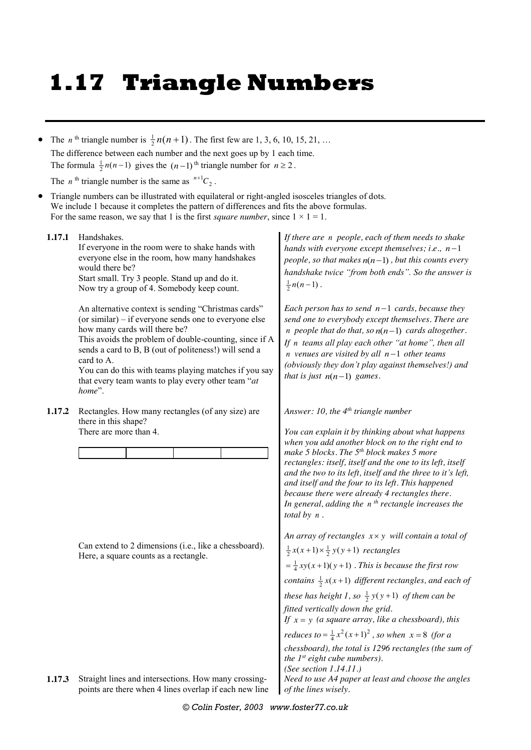## **1.17 Triangle Numbers**

• The *n*<sup>th</sup> triangle number is  $\frac{1}{2}n(n+1)$ . The first few are 1, 3, 6, 10, 15, 21, ... The difference between each number and the next goes up by 1 each time. The formula  $\frac{1}{2}n(n-1)$  gives the  $(n-1)$ <sup>th</sup> triangle number for  $n \ge 2$ .

The *n*<sup>th</sup> triangle number is the same as  $^{n+1}C_2$ .

 Triangle numbers can be illustrated with equilateral or right-angled isosceles triangles of dots. We include 1 because it completes the pattern of differences and fits the above formulas. For the same reason, we say that 1 is the first *square number*, since  $1 \times 1 = 1$ .

**1.17.1** Handshakes.

If everyone in the room were to shake hands with everyone else in the room, how many handshakes would there be? Start small. Try 3 people. Stand up and do it.

Now try a group of 4. Somebody keep count.

An alternative context is sending "Christmas cards" (or similar) – if everyone sends one to everyone else how many cards will there be?

This avoids the problem of double-counting, since if A sends a card to B, B (out of politeness!) will send a card to A.

You can do this with teams playing matches if you say that every team wants to play every other team "*at home*".

**1.17.2** Rectangles. How many rectangles (of any size) are there in this shape? There are more than 4.

Can extend to 2 dimensions (i.e., like a chessboard). Here, a square counts as a rectangle.

**1.17.3** Straight lines and intersections. How many crossingpoints are there when 4 lines overlap if each new line *If there are n people, each of them needs to shake hands with everyone except themselves; i.e.,*  $n-1$ *people, so that makes*  $n(n-1)$ , but this counts every *handshake twice "from both ends". So the answer is*  $\frac{1}{2}n(n-1)$ .

*Each person has to send*  $n-1$  *cards, because they send one to everybody except themselves. There are n* people that do that, so  $n(n-1)$  cards altogether. *If n teams all play each other "at home", then all n* venues are visited by all  $n-1$  other teams *(obviously they don't play against themselves!) and that is just*  $n(n-1)$  *games.* 

*Answer: 10, the 4th triangle number*

*You can explain it by thinking about what happens when you add another block on to the right end to make 5 blocks. The 5th block makes 5 more rectangles: itself, itself and the one to its left, itself and the two to its left, itself and the three to it's left, and itself and the four to its left. This happened because there were already 4 rectangles there. In general, adding the n th rectangle increases the total by n .*

*An array of rectangles x y will contain a total of*   $\frac{1}{2}x(x+1) \times \frac{1}{2}y(y+1)$  rectangles  $=\frac{1}{4}xy(x+1)(y+1)$ . This is because the first row *contains*  $\frac{1}{2}x(x+1)$  *different rectangles, and each of these has height 1, so*  $\frac{1}{2}y(y+1)$  *of them can be fitted vertically down the grid. If*  $x = y$  (*a square array, like a chessboard*), this *reduces to* =  $\frac{1}{4}x^2(x+1)^2$ , so when  $x = 8$  (for a *chessboard), the total is 1296 rectangles (the sum of the 1st eight cube numbers). (See section 1.14.11.) Need to use A4 paper at least and choose the angles of the lines wisely.*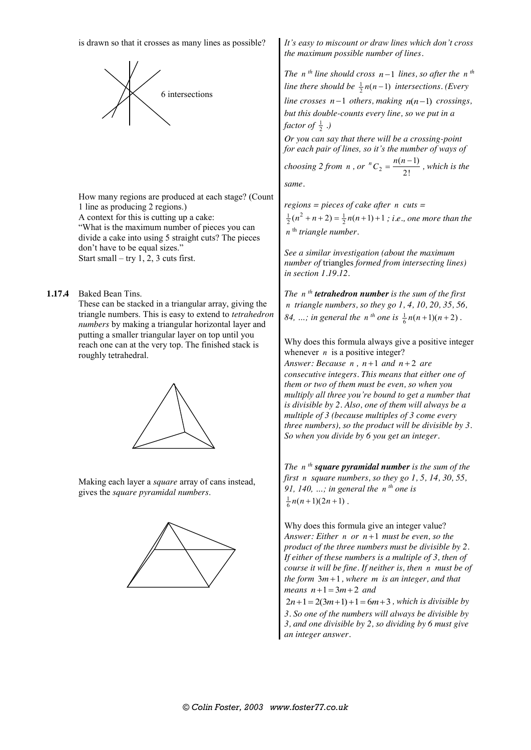is drawn so that it crosses as many lines as possible?



How many regions are produced at each stage? (Count 1 line as producing 2 regions.) A context for this is cutting up a cake: "What is the maximum number of pieces you can divide a cake into using 5 straight cuts? The pieces don't have to be equal sizes." Start small – try 1, 2, 3 cuts first.

**1.17.4** Baked Bean Tins.

These can be stacked in a triangular array, giving the triangle numbers. This is easy to extend to *tetrahedron numbers* by making a triangular horizontal layer and putting a smaller triangular layer on top until you reach one can at the very top. The finished stack is roughly tetrahedral.



Making each layer a *square* array of cans instead, gives the *square pyramidal numbers*.



*It's easy to miscount or draw lines which don't cross the maximum possible number of lines.*

*The n*<sup>th</sup> line should cross  $n-1$  lines, so after the n<sup>th</sup> *line there should be*  $\frac{1}{2}n(n-1)$  *intersections. (Every line crosses*  $n-1$  *others, making*  $n(n-1)$  *crossings, but this double-counts every line, so we put in a factor of*  $\frac{1}{2}$  .)

*Or you can say that there will be a crossing-point for each pair of lines, so it's the number of ways of* 

*choosing 2 from n, or*  $^nC_2 = \frac{n(n-1)}{2!}$  $^{n}C_{2} = \frac{n(n-1)}{2!}$ , which is the *same.*

*regions = pieces of cake after n cuts =*   $\frac{1}{2}(n^2 + n + 2) = \frac{1}{2}n(n+1) + 1$ ; *i.e.*, one more than the *n*<sup>th</sup> *triangle number.* 

*See a similar investigation (about the maximum number of* triangles *formed from intersecting lines) in section 1.19.12.*

*The n th tetrahedron number is the sum of the first n triangle numbers, so they go 1, 4, 10, 20, 35, 56, 84, ...; in general the n*<sup>th</sup> one is  $\frac{1}{6}n(n+1)(n+2)$ .

Why does this formula always give a positive integer whenever  $n$  is a positive integer?

*Answer: Because*  $n$ *,*  $n+1$  *and*  $n+2$  *are consecutive integers. This means that either one of them or two of them must be even, so when you multiply all three you're bound to get a number that is divisible by 2. Also, one of them will always be a multiple of 3 (because multiples of 3 come every three numbers), so the product will be divisible by 3. So when you divide by 6 you get an integer.*

*The n th square pyramidal number is the sum of the first n square numbers, so they go 1, 5, 14, 30, 55, 91, 140, …; in general the n th one is*   $\frac{1}{6}n(n+1)(2n+1)$ .

Why does this formula give an integer value? *Answer: Either n or*  $n+1$  *must be even, so the product of the three numbers must be divisible by 2. If either of these numbers is a multiple of 3, then of course it will be fine. If neither is, then n must be of*   $the form 3m+1$ , where  $m$  *is an integer*, and that *means*  $n+1 = 3m+2$  *and* 

 $2n+1 = 2(3m+1) + 1 = 6m+3$ , which is divisible by *3. So one of the numbers will always be divisible by 3, and one divisible by 2, so dividing by 6 must give an integer answer.*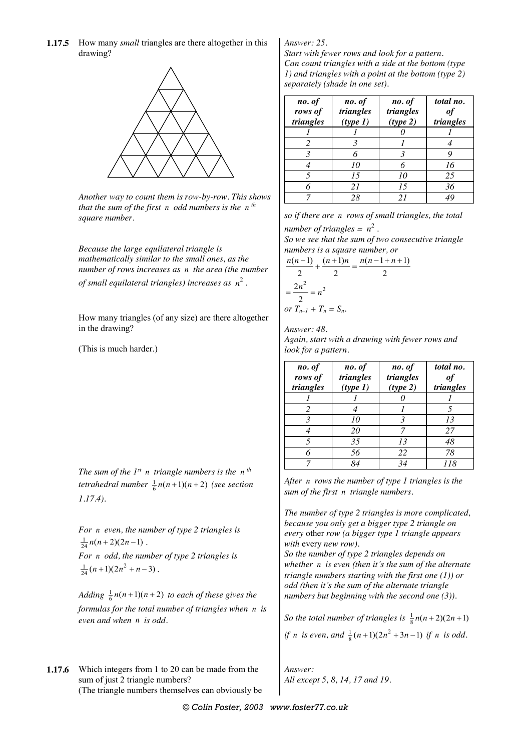**1.17.5** How many *small* triangles are there altogether in this drawing?



*Another way to count them is row-by-row. This shows that the sum of the first n odd numbers is the n th square number.*

*Because the large equilateral triangle is mathematically similar to the small ones, as the number of rows increases as n the area (the number of small equilateral triangles) increases as*  $n^2$ .

How many triangles (of any size) are there altogether in the drawing?

(This is much harder.)

*The sum of the 1st n triangle numbers is the n th tetrahedral number*  $\frac{1}{6}n(n+1)(n+2)$  (see section *1.17.4).*

*For n even, the number of type 2 triangles is*   $\frac{1}{24}n(n+2)(2n-1)$ . *For n odd, the number of type 2 triangles is*   $\frac{1}{24}(n+1)(2n^2+n-3)$ .

*Adding*  $\frac{1}{6}n(n+1)(n+2)$  *to each of these gives the formulas for the total number of triangles when n is even and when n is odd.*

**1.17.6** Which integers from 1 to 20 can be made from the sum of just 2 triangle numbers? (The triangle numbers themselves can obviously be

## *Answer: 25.*

*Start with fewer rows and look for a pattern. Can count triangles with a side at the bottom (type 1) and triangles with a point at the bottom (type 2) separately (shade in one set).*

| no. of<br>rows of<br>triangles | no. of<br>triangles<br>(type 1) | no. of<br>triangles<br>(type 2) | total no.<br>of<br>triangles |
|--------------------------------|---------------------------------|---------------------------------|------------------------------|
|                                |                                 |                                 |                              |
|                                |                                 |                                 |                              |
|                                | 6                               | $\mathcal{R}$                   |                              |
|                                | 10                              |                                 | 16                           |
|                                | 15                              | 10                              | 25                           |
|                                | 21                              | 15                              | 36                           |
|                                | 28                              | 21                              |                              |

*so if there are n rows of small triangles, the total number of triangles =*  $n^2$ . *So we see that the sum of two consecutive triangle* 

*numbers is a square number, or* 

$$
\frac{n(n-1)}{2} + \frac{(n+1)n}{2} = \frac{n(n-1+n+1)}{2}
$$

$$
= \frac{2n^2}{2} = n^2
$$
  
or  $T_{n-1} + T_n = S_n$ .

*Answer: 48. Again, start with a drawing with fewer rows and look for a pattern.*

| no. of<br>rows of<br>triangles | no. of<br>triangles<br>(type 1) | no. of<br>triangles<br>(type 2) | total no.<br>of<br>triangles |
|--------------------------------|---------------------------------|---------------------------------|------------------------------|
|                                |                                 |                                 |                              |
|                                |                                 |                                 |                              |
| 3                              | 10                              | 3                               | 13                           |
|                                | 20                              |                                 | 27                           |
|                                | 35                              | 13                              | 48                           |
|                                | 56                              | 22                              | 78                           |
|                                | $Q_{\mathcal{A}}$               | 34                              | 118                          |

*After n rows the number of type 1 triangles is the sum of the first n triangle numbers.*

*The number of type 2 triangles is more complicated, because you only get a bigger type 2 triangle on every* other *row (a bigger type 1 triangle appears with* every *new row).*

*So the number of type 2 triangles depends on whether n is even (then it's the sum of the alternate triangle numbers starting with the first one (1)) or odd (then it's the sum of the alternate triangle numbers but beginning with the second one (3)).*

So the total number of triangles is  $\frac{1}{8}n(n+2)(2n+1)$ *if n is even, and*  $\frac{1}{8}(n+1)(2n^2+3n-1)$  *if n is odd.* 

*Answer: All except 5, 8, 14, 17 and 19.*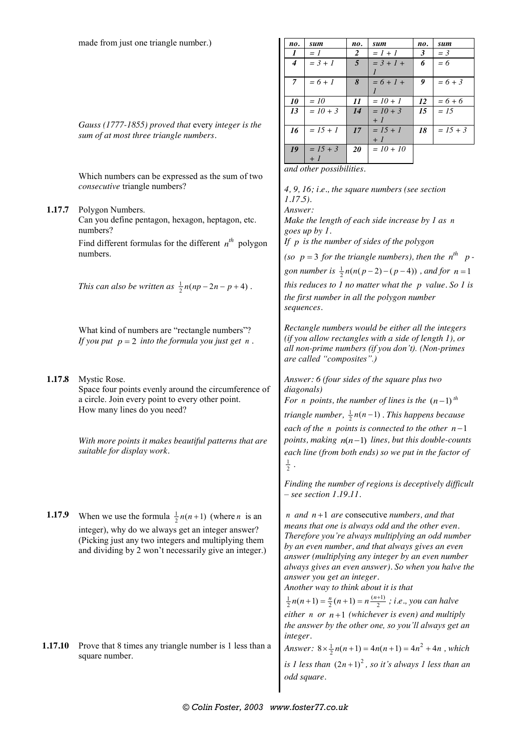| no.              | sum        | no.            | sum         | no. | sum        |
|------------------|------------|----------------|-------------|-----|------------|
| $\boldsymbol{l}$ | $= 1$      | 2              | $= 1 + 1$   | 3   | $=$ 3      |
| $\boldsymbol{4}$ | $= 3 + 1$  | $\overline{5}$ | $= 3 + 1 +$ | 6   | $= 6$      |
|                  |            |                |             |     |            |
| $\overline{7}$   | $= 6 + 1$  | 8              | $= 6 + l +$ | 9   | $= 6 + 3$  |
|                  |            |                |             |     |            |
| 10               | $=10$      | 11             | $= 10 + 1$  | 12  | $= 6 + 6$  |
| 13               | $= 10 + 3$ | 14             | $= 10 + 3$  | 15  | $= 15$     |
|                  |            |                | $+1$        |     |            |
| 16               | $= 15 + 1$ | 17             | $= 15 + 1$  | 18  | $= 15 + 3$ |
|                  |            |                | $+1$        |     |            |
| 19               | $= 15 + 3$ | 20             | $= 10 + 10$ |     |            |
|                  | $+1$       |                |             |     |            |

*4, 9, 16; i.e., the square numbers (see section* 

*and other possibilities.*

*Gauss (1777-1855) proved that* every *integer is the sum of at most three triangle numbers.*

Which numbers can be expressed as the sum of two *consecutive* triangle numbers?

*1.17.5).* **1.17.7** Polygon Numbers. Can you define pentagon, hexagon, heptagon, etc. numbers? Find different formulas for the different  $n^{th}$  polygon numbers. *This can also be written as*  $\frac{1}{2}n(np-2n-p+4)$ . What kind of numbers are "rectangle numbers"? *If you put*  $p = 2$  *into the formula you just get n. Answer: Make the length of each side increase by 1 as n goes up by 1. If p is the number of sides of the polygon (so p* = 3 *for the triangle numbers), then the*  $n^{th}$  *p gon number is*  $\frac{1}{2}n(n(p-2)-(p-4))$ , and for  $n=1$ *this reduces to 1 no matter what the p value. So 1 is the first number in all the polygon number sequences. Rectangle numbers would be either all the integers (if you allow rectangles with a side of length 1), or all non-prime numbers (if you don't). (Non-primes are called "composites".)* **1.17.8** Mystic Rose. Space four points evenly around the circumference of a circle. Join every point to every other point. How many lines do you need? *With more points it makes beautiful patterns that are suitable for display work. Answer: 6 (four sides of the square plus two diagonals) For n points, the number of lines is the*  $(n-1)$ <sup>th</sup> *triangle number,*  $\frac{1}{2}n(n-1)$  *. This happens because each of the n points is connected to the other*  $n-1$ *points, making*  $n(n-1)$  *lines, but this double-counts each line (from both ends) so we put in the factor of*   $\frac{1}{2}$ . *Finding the number of regions is deceptively difficult – see section 1.19.11.* **1.17.9** When we use the formula  $\frac{1}{2}n(n+1)$  (where *n* is an integer), why do we always get an integer answer? (Picking just any two integers and multiplying them and dividing by 2 won't necessarily give an integer.)  $n$  *and*  $n+1$  *are* consecutive *numbers*, *and that means that one is always odd and the other even. Therefore you're always multiplying an odd number by an even number, and that always gives an even answer (multiplying any integer by an even number always gives an even answer). So when you halve the answer you get an integer. Another way to think about it is that*   $\frac{1}{2}n(n+1) = \frac{n}{2}(n+1) = n\frac{(n+1)}{2}$ ; *i.e.*, you can halve *either n or n*+1 *(whichever is even)* and *multiply the answer by the other one, so you'll always get an integer.* **1.17.10** Prove that 8 times any triangle number is 1 less than a square number. *Answer*:  $8 \times \frac{1}{2} n(n+1) = 4n(n+1) = 4n^2 + 4n$ , which is 1 less than  $(2n+1)^2$ , so it's always 1 less than an *odd square.*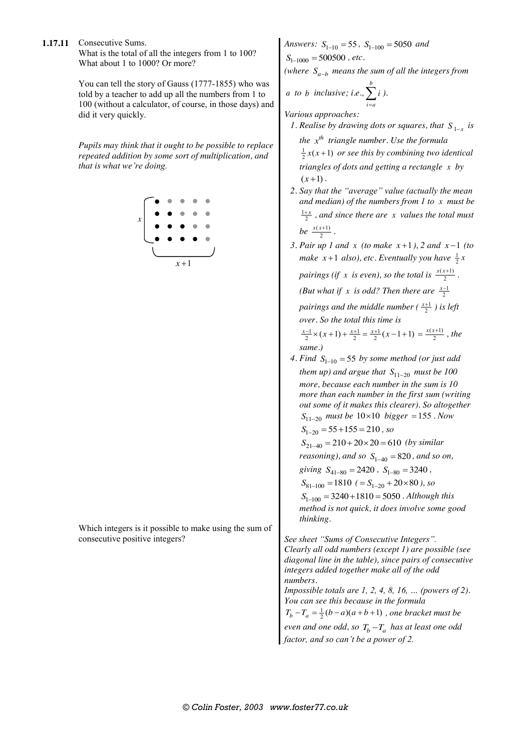**1.17.11** Consecutive Sums. What is the total of all the integers from 1 to 100? What about 1 to 1000? Or more?

> You can tell the story of Gauss (1777-1855) who was told by a teacher to add up all the numbers from 1 to 100 (without a calculator, of course, in those days) and did it very quickly.

> *Pupils may think that it ought to be possible to replace repeated addition by some sort of multiplication, and that is what we're doing.*



Which integers is it possible to make using the sum of consecutive positive integers?

*Answers:*  $S_{1-10} = 55$ ,  $S_{1-100} = 5050$  *and*  $S_{1-1000} = 500500$ , etc.

*(where*  $S_{a-b}$  *means the sum of all the integers from* 

a to b inclusive; i.e., 
$$
\sum_{i=a}^{b} i
$$
).

*Various approaches:*

- *1.* Realise by drawing dots or squares, that  $S_{1-x}$  is *the th x triangle number. Use the formula*   $\frac{1}{2}x(x+1)$  *or see this by combining two identical triangles of dots and getting a rectangle x by*   $(x+1)$ .
- *2. Say that the "average" value (actually the mean and median) of the numbers from 1 to x must be*   $\frac{1+x}{2}$ , and since there are x values the total must *be*  $\frac{x(x+1)}{2}$ .
- *3. Pair up 1 and x (to make*  $x+1$ *), 2 and*  $x-1$  *(to make*  $x+1$  *also*), etc. Eventually you have  $\frac{1}{2}x$ 
	- *pairings (if x is even), so the total is*  $\frac{x(x+1)}{2}$ .

*(But what if x is odd? Then there are*  $\frac{x-1}{2}$ 

*pairings and the middle number (* $\frac{x+1}{2}$ *) is left over. So the total this time is* 

$$
\frac{x-1}{2} \times (x+1) + \frac{x+1}{2} = \frac{x+1}{2} (x-1+1) = \frac{x(x+1)}{2}
$$
, the same.)

4. Find  $S_{1-10} = 55$  by some method (or just add *them up) and argue that*  $S_{11-20}$  *must be 100 more, because each number in the sum is 10 more than each number in the first sum (writing out some of it makes this clearer). So altogether*   $S_{11-20}$  *must be*  $10 \times 10$  *bigger* = 155 *. Now*  $S_{1-20} = 55 + 155 = 210$ , so  $S_{21-40} = 210 + 20 \times 20 = 610$  (by similar *reasoning), and so*  $S_{1-40} = 820$ *, and so on,* 

*giving*  $S_{41-80} = 2420$ ,  $S_{1-80} = 3240$ ,

 $S_{81-100}$  = 1810 (=  $S_{1-20}$  + 20×80), so

 $S<sub>1-100</sub> = 3240 + 1810 = 5050$ . Although this *method is not quick, it does involve some good thinking.*

*See sheet "Sums of Consecutive Integers". Clearly all odd numbers (except 1) are possible (see diagonal line in the table), since pairs of consecutive integers added together make all of the odd numbers.*

*Impossible totals are 1, 2, 4, 8, 16, … (powers of 2). You can see this because in the formula* 

 $T_b - T_a = \frac{1}{2}(b-a)(a+b+1)$ , one bracket must be *even and one odd, so*  $T_b - T_a$  *has at least one odd* 

*factor, and so can't be a power of 2.*